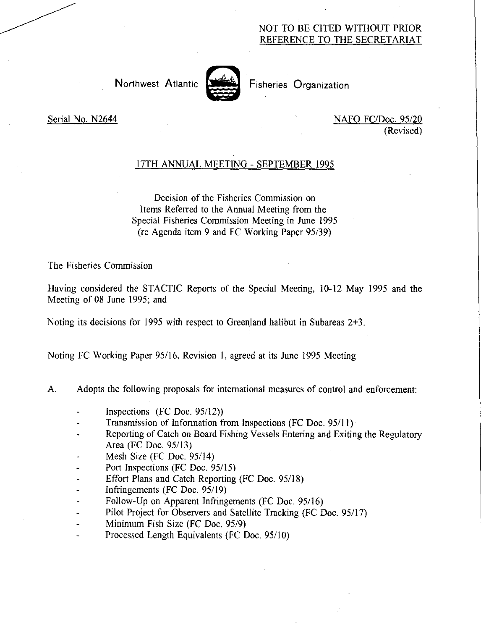## NOT TO BE CITED WITHOUT PRIOR REFERENCE TO THE SECRETARIAT

Northwest Atlantic **Northwest Atlantic** Fisheries Organization



Serial No. N2644 NAFO FC/Doc. 95/20 (Revised)

### 17TH ANNUAL MEETING - SEPTEMBER 1995

Decision of the Fisheries Commission on Items Referred to the Annual Meeting from the Special Fisheries Commission Meeting in June 1995 (re Agenda item 9 and FC Working Paper 95/39)

The Fisheries Commission

Having considered the STACTIC Reports of the Special Meeting, 10-12 May 1995 and the Meeting of 08 June 1995; and

Noting its decisions for 1995 with respect to Greenland halibut in Subareas 2+3.

Noting FC Working Paper 95/16, Revision 1, agreed at its June 1995 Meeting

- A. Adopts the following proposals for international measures of control and enforcement:
	- Inspections (FC Doc. 95/12))
	- Transmission of Information from Inspections (FC Doc. 95/11)
	- Reporting of Catch on Board Fishing Vessels Entering and Exiting the Regulatory Area (FC Doc. 95/13)
	- Mesh Size (FC Doc. 95/14)
	- Port Inspections (FC Doc. 95/15)
	- Effort Plans and Catch Reporting (FC Doc. 95/18)
	- Infringements (FC Doc. 95/19)
	- Follow-Up on Apparent Infringements (FC Doc. 95/16)
	- Pilot Project for Observers and Satellite Tracking (FC Doc. 95/17)
	- Minimum Fish Size (FC Doc. 95/9)  $\ddot{\phantom{1}}$
	- Processed Length Equivalents (FC Doc. 95/10)  $\sim$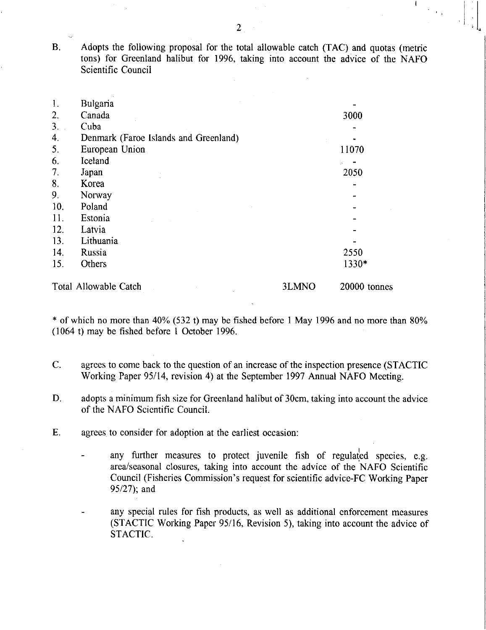B. Adopts the following proposal for the total allowable catch (TAC) and quotas (metric tons) for Greenland halibut for 1996, taking into account the advice of the NAFO Scientific Council

| 1.                    | Bulgaria                              |       |              |
|-----------------------|---------------------------------------|-------|--------------|
| 2.                    | Canada                                |       | 3000         |
| 3.                    | Cuba                                  |       |              |
| 4.                    | Denmark (Faroe Islands and Greenland) |       |              |
| 5.                    | European Union                        |       | 11070        |
| 6.                    | Iceland                               |       |              |
| 7.                    | Japan                                 |       | 2050         |
| 8.                    | Korea                                 |       |              |
| 9.                    | Norway                                |       |              |
| 10.                   | Poland                                |       |              |
| 11.                   | Estonia                               |       |              |
| 12.                   | Latvia                                |       |              |
| 13.                   | Lithuania                             |       |              |
| 14.                   | Russia                                |       | 2550         |
| 15.                   | Others                                |       | 1330*        |
| Total Allowable Catch |                                       | 3LMNO | 20000 tonnes |

\* of which no more than 40% (532 t) may be fished before 1 May 1996 and no more than 80% (1064 t) may be fished before 1 October 1996.

- C. agrees to come back to the question of an increase of the inspection presence (STACTIC Working Paper 95/14, revision 4) at the September 1997 Annual NAFO Meeting.
- D. adopts a minimum fish size for Greenland halibut of 30cm, taking into account the advice of the NAFO Scientific Council.
- E. agrees to consider for adoption at the earliest occasion:
	- any further measures to protect juvenile fish of regulated species, e.g. area/seasonal closures, taking into account the advice of the NAFO Scientific Council (Fisheries Commission's request for scientific advice-FC Working Paper 95/27); and
	- any special rules for fish products, as well as additional enforcement measures (STACTIC Working Paper 95/16, Revision 5), taking into account the advice of STACTIC.

 $\mathbf{I}$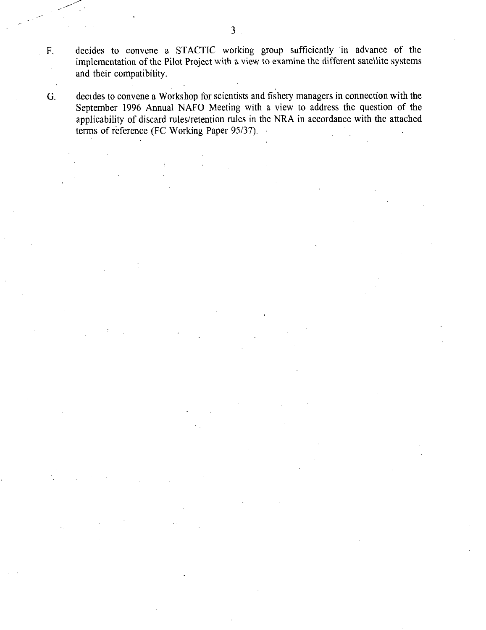decides to convene a STACTIC working group sufficiently in advance of the implementation of the Pilot Project with a view to examine the different satellite systems and their compatibility.

G. decides to convene a Workshop for scientists and fishery managers in connection with the September 1996 Annual NAFO Meeting with a view to address the question of the applicability of discard rules/retention rules in the NRA in accordance with the attached terms of reference (FC Working Paper 95/37).

 $F_{\cdot}$ 

 $\bar{\mathcal{L}}$ 

 $\bar{A}$